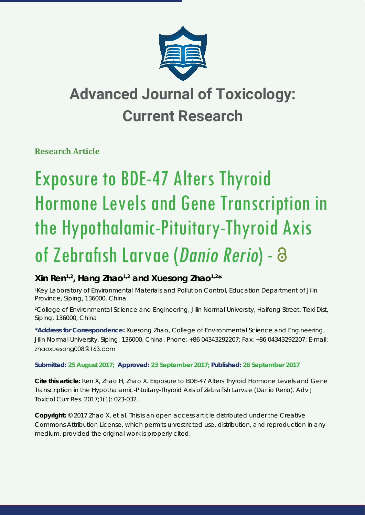

## **Advanced Journal of Toxicology: Current Research**

**Research Article** 

# Exposure to BDE-47 Alters Thyroid Hormone Levels and Gene Transcription in the Hypothalamic-Pituitary-Thyroid Axis of Zebrafish Larvae (Danio Rerio) - 8

### **Xin Ren1,2, Hang Zhao1,2 and Xuesong Zhao1,2\***

*1 Key Laboratory of Environmental Materials and Pollution Control, Education Department of Jilin Province, Siping, 136000, China*

*2 College of Environmental Science and Engineering, Jilin Normal University, Haifeng Street, Tiexi Dist, Siping, 136000, China*

**\*Address for Correspondence:** Xuesong Zhao, College of Environmental Science and Engineering, Jilin Normal University, Siping, 136000, China, Phone: +86 04343292207; Fax: +86 04343292207; E-mail: zhaoxuesong008@163.com

**Submitted: 25 August 2017; Approved: 23 September 2017; Published: 26 September 2017**

**Cite this article:** Ren X, Zhao H, Zhao X. Exposure to BDE-47 Alters Thyroid Hormone Levels and Gene Transcription in the Hypothalamic-Pituitary-Thyroid Axis of Zebrafish Larvae (*Danio Rerio*). Adv J Toxicol Curr Res. 2017;1(1): 023-032.

**Copyright:** © 2017 Zhao X, et al. This is an open access article distributed under the Creative Commons Attribution License, which permits unrestricted use, distribution, and reproduction in any medium, provided the original work is properly cited.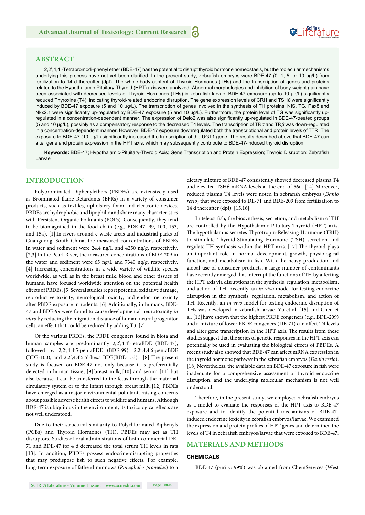## **SeiRes** ture

#### **ABSTRACT**

2,2',4,4'-Tetrabromodi-phenyl ether (BDE-47) has the potential to disrupt thyroid hormone homeostasis, but the molecular mechanisms underlying this process have not yet been clarified. In the present study, zebrafish embryos were BDE-47 (0, 1, 5, or 10 μg/L) from fertilization to 14 d thereafter (dpf). The whole-body content of Thyroid Hormones (THs) and the transcription of genes and proteins related to the Hypothalamic-Pituitary-Thyroid (HPT) axis were analyzed. Abnormal morphologies and inhibition of body-weight gain have been associated with decreased levels of Thyroid Hormones (THs) in zebrafish larvae. BDE-47 exposure (up to 10 µg/L) significantly reduced Thyroxine (T4), indicating thyroid-related endocrine disruption. The gene expression levels of CRH and TSHβ were significantly induced by BDE-47 exposure (5 and 10 μg/L). The transcription of genes involved in the synthesis of TH proteins, NIS, TG, Pax8 and Nkx2.1 were significantly up-regulated by BDE-47 exposure (5 and 10 μg/L). Furthermore, the protein level of TG was significantly upregulated in a concentration-dependent manner. The expression of Deio2 was also significantly up-regulated in BDE-47-treated groups (5 and 10 μg/L), possibly as a compensatory response to the decreased T4 levels. The transcription of TR*α* and TR*β* was down-regulated in a concentration-dependent manner. However, BDE-47 exposure downregulated both the transcriptional and protein levels of TTR. The exposure to BDE-47 (10 μg/L) significantly increased the transcription of the UGT1 gene. The results described above that BDE-47 can alter gene and protein expression in the HPT axis, which may subsequently contribute to BDE-47-induced thyroid disruption.

Keywords: BDE-47; Hypothalamic-Pituitary-Thyroid Axis; Gene Transcription and Protein Expression; Thyroid Disruption; Zebrafish Larvae

#### **INTRODUCTION**

Polybrominated Diphenylethers (PBDEs) are extensively used as Brominated flame Retardants (BFRs) in a variety of consumer products, such as textiles, upholstery foam and electronic devices. PBDEs are hydrophobic and lipophilic and share many characteristics with Persistent Organic Pollutants (POPs). Consequently, they tend to be biomagnified in the food chain (e.g., BDE-47, 99, 100, 153, and 154). [1] In rivers around e-waste areas and industrial parks of Guangdong, South China, the measured concentrations of PBDEs in water and sediment were 24.4 ng/L and 4250 ng/g, respectively. [2,3] In the Pearl River, the measured concentrations of BDE-209 in the water and sediment were 65 ng/L and 7340 ng/g, respectively. [4] Increasing concentrations in a wide variety of wildlife species worldwide, as well as in the breast milk, blood and other tissues of humans, have focused worldwide attention on the potential health effects of PBDEs. [5] Several studies report potential oxidative damage, reproductive toxicity, neurological toxicity, and endocrine toxicity after PBDE exposure in rodents. [6] Additionally, in humans, BDE-47 and BDE-99 were found to cause developmental neurotoxicity *in vitro* by reducing the migration distance of human neural progenitor cells, an effect that could be reduced by adding T3. [7]

Of the various PBDEs, the PBDE congeners found in biota and human samples are predominantly 2,2',4,4'-tetraBDE (BDE-47), followed by 2,2',4,4'5-pentaBDE (BDE-99), 2,2',4,4'6-pentaBDE (BDE-100), and 2,2',4,4'5,5'-hexa BDE(BDE-153). [8] The present study is focused on BDE-47 not only because it is preferentially detected in human tissue, [9] breast milk, [10] and serum [11] but also because it can be transferred to the fetus through the maternal circulatory system or to the infant through breast milk. [12] PBDEs have emerged as a major environmental pollutant, raising concerns about possible adverse health effects to wildlife and humans. Although BDE-47 is ubiquitous in the environment, its toxicological effects are not well understood.

Due to their structural similarity to Polychlorinated Biphenyls (PCBs) and Thyroid Hormones (TH), PBDEs may act as TH disruptors. Studies of oral administrations of both commercial DE-71 and BDE-47 for 4 d decreased the total serum TH levels in rats [13]. In addition, PBDEs possess endocrine-disrupting properties that may predispose fish to such negative effects. For example, long-term exposure of fathead minnows (*Pimephales promelas*) to a

dietary mixture of BDE-47 consistently showed decreased plasma T4 and elevated TSH*β* mRNA levels at the end of 56d. [14] Moreover, reduced plasma T4 levels were noted in zebrafish embryos (*Danio rerio*) that were exposed to DE-71 and BDE-209 from fertilization to 14 d thereafter (dpf). [15,16]

In teleost fish, the biosynthesis, secretion, and metabolism of TH are controlled by the Hypothalamic-Pituitary-Thyroid (HPT) axis. The hypothalamus secretes Thyrotropin-Releasing Hormone (TRH) to stimulate Thyroid-Stimulating Hormone (TSH) secretion and regulate TH synthesis within the HPT axis. [17] The thyroid plays an important role in normal development, growth, physiological function, and metabolism in fish. With the heavy production and global use of consumer products, a large number of contaminants have recently emerged that interrupt the functions of TH by affecting the HPT axis via disruptions in the synthesis, regulation, metabolism, and action of TH. Recently, an *in vivo* model for testing endocrine disruption in the synthesis, regulation, metabolism, and action of TH. Recently, an *in vivo* model for testing endocrine disruption of THs was developed in zebrafish larvae. Yu et al, [15] and Chen et al, [16] have shown that the highest PBDE congeners (e.g., BDE-209) and a mixture of lower PBDE congeners (DE-71) can affect T4 levels and alter gene transcription in the HPT axis. The results from these studies suggest that the series of genetic responses in the HPT axis can potentially be used in evaluating the biological effects of PBDEs. A recent study also showed that BDE-47 can affect mRNA expression in the thyroid hormone pathway in the zebrafish embryos (*Danio rerio*). [18] Nevertheless, the available data on BDE-47 exposure in fish were inadequate for a comprehensive assessment of thyroid endocrine disruption, and the underlying molecular mechanism is not well understood.

Therefore, in the present study, we employed zebrafish embryos as a model to evaluate the responses of the HPT axis to BDE-47 exposure and to identify the potential mechanisms of BDE-47 induced endocrine toxicity in zebrafish embryos/larvae. We examined the expression and protein profiles of HPT genes and determined the levels of T4 in zebrafish embryos/larvae that were exposed to BDE-47.

#### **MATERIALS AND METHODS**

#### **CHEMICALS**

BDE-47 (purity: 99%) was obtained from ChemServices (West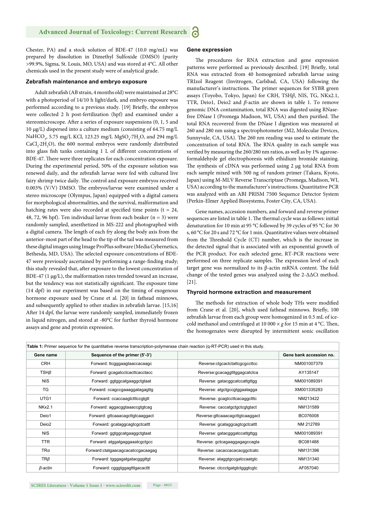Chester, PA) and a stock solution of BDE-47 (10.0 mg/mL) was prepared by dissolution in Dimethyl Sulfoxide (DMSO) (purity >99.9%, Sigma, St. Louis, MO, USA) and was stored at 4°C. All other chemicals used in the present study were of analytical grade.

#### **Zebrafish maintenance and embryo exposure**

Adult zebrafish (AB strain, 4 months old) were maintained at 28°C with a photoperiod of 14/10 h light/dark, and embryo exposure was performed according to a previous study. [19] Briefly, the embryos were collected 2 h post-fertilization (hpf) and examined under a stereomicroscope. After a series of exposure suspensions (0, 1, 5 and 10 μg/L) dispersed into a culture medium (consisting of 64.75 mg/L NaHCO<sub>3</sub>, 5.75 mg/L KCl, 123.25 mg/L MgSO<sub>4</sub>.7H<sub>2</sub>O, and 294 mg/L  $CaCl<sub>2</sub>·2H<sub>2</sub>O$ ), the 600 normal embryos were randomly distributed into glass fish tanks containing 1 L of different concentrations of BDE-47. There were three replicates for each concentration exposure. During the experimental period, 50% of the exposure solution was renewed daily, and the zebrafish larvae were fed with cultured live fairy shrimp twice daily. The control and exposure embryos received 0.003% (V/V) DMSO. The embryos/larvae were examined under a stereo microscope (Olympus, Japan) equipped with a digital camera for morphological abnormalities, and the survival, malformation and hatching rates were also recorded at specified time points (t = 24, 48, 72, 96 hpf). Ten individual larvae from each beaker ( $n = 3$ ) were randomly sampled, anesthetized in MS-222 and photographed with a digital camera. The length of each fry along the body axis from the anterior-most part of the head to the tip of the tail was measured from these digital images using Image ProPlus software (Media Cybernetics, Bethesda, MD, USA). The selected exposure concentrations of BDE-47 were previously ascertained by performing a range-finding study; this study revealed that, after exposure to the lowest concentration of BDE-47 (1 μg/L), the malformation rates trended toward an increase, but the tendency was not statistically significant. The exposure time (14 dpf) in our experiment was based on the timing of exogenous hormone exposure used by Crane et al. [20] in fathead minnows, and subsequently applied to other studies in zebrafish larvae. [15,16] After 14 dpf, the larvae were randomly sampled, immediately frozen in liquid nitrogen, and stored at -80°C for further thyroid hormone assays and gene and protein expression.

#### **Gene expression**

The procedures for RNA extraction and gene expression patterns were performed as previously described. [19] Briefly, total RNA was extracted from 40 homogenized zebrafish larvae using TRIzol Reagent (Invitrogen, Carlsbad, CA, USA) following the manufacturer's instructions. The primer sequences for SYBR green assays (Toyobo, Tokyo, Japan) for CRH, TSH*β*, NIS, TG, NKx2.1, TTR, Deio1, Deio2 and *β-*actin are shown in table 1. To remove genomic DNA contamination, total RNA was digested using RNasefree DNase I (Promega Madison, WI, USA) and then purified. The total RNA recovered from the DNase I digestion was measured at 260 and 280 nm using a spectrophotometer (M2, Molecular Devices, Sunnyvale, CA, USA). The 260 nm reading was used to estimate the concentration of total RNA. The RNA quality in each sample was verified by measuring the 260/280 nm ratios, as well as by 1% agaroseformaldehyde gel electrophoresis with ethidium bromide staining. The synthesis of cDNA was performed using 2 μg total RNA from each sample mixed with 500 ng of random primer (Takara, Kyoto, Japan) using M-MLV Reverse Transcriptase (Promega, Madison, WI, USA) according to the manufacturer's instructions. Quantitative PCR was analyzed with an ABI PRISM 7500 Sequence Detector System (Perkin-Elmer Applied Biosystems, Foster City, CA, USA).

Gene names, accession numbers, and forward and reverse primer sequences are listed in table 1. The thermal cycle was as follows: initial denaturation for 10 min at 95 °C followed by 39 cycles of 95 °C for 30 s, 60 °C for 20 s and 72 °C for 1 min. Quantitative values were obtained from the Threshold Cycle (CT) number, which is the increase in the detected signal that is associated with an exponential growth of the PCR product. For each selected gene, RT-PCR reactions were performed on three replicate samples. The expression level of each target gene was normalized to its β-actin mRNA content. The fold change of the tested genes was analyzed using the 2-ΔΔCt method. [21].

#### **Thyroid hormone extraction and measurement**

The methods for extraction of whole body THs were modified from Crane et al. [20], which used fathead minnows. Briefly, 100 zebrafish larvae from each group were homogenized in 0.5 mL of icecold methanol and centrifuged at 10 000  $\times$  *g* for 15 min at 4 °C. Then, the homogenates were disrupted by intermittent sonic oscillation

| Table 1: Primer sequence for the quantitative reverse transcription-polymerase chain reaction (q-RT-PCR) used in this study. |                                   |                                 |                         |  |
|------------------------------------------------------------------------------------------------------------------------------|-----------------------------------|---------------------------------|-------------------------|--|
| Gene name                                                                                                                    | Sequence of the primer (5'-3')    |                                 | Gene bank accession no. |  |
| <b>CRH</b>                                                                                                                   | Forward: ttcgggaagtaaccacaagc     | Reverse:ctgcactctattcgcgccttcc  | NM001007379             |  |
| TSHB                                                                                                                         | Forward: gcagatcctcacttcacctacc   | Reverse:gcacaggtttggagcatctca   | AY135147                |  |
| <b>NIS</b>                                                                                                                   | Forward: ggtggcatgaaggctgtaat     | Reverse: gatacggcatccattgttgg   | NM001089391             |  |
| <b>TG</b>                                                                                                                    | Forward: ccagccgaaaggatagagttg    | Reverse: atgctgccgtggaatagga    | XM001335283             |  |
| UTG1                                                                                                                         | Forward: ccaccaagtctttccgtgtt     | Reverse: gcagtccttcacaggctttc   | NM213422                |  |
| <b>NKx2.1</b>                                                                                                                | Forward: aggacggtaaaccgtgtcag     | Reverse: caccatgctgctcgtgtact   | NM131589                |  |
| Deio1                                                                                                                        | Forward: gttcaaacagcttgtcaaggact  | Reverse:gttcaaacagcttgtcaaggact | BC076008                |  |
| Deio <sub>2</sub>                                                                                                            | Forward: gcataggcagtcgctcattt     | Reverse: gcataggcagtcgctcattt   | NM 212789               |  |
| <b>NIS</b>                                                                                                                   | Forward: ggtggcatgaaggctgtaat     | Reverse: gatacgggatccattgttgg   | NM001089391             |  |
| <b>TTR</b>                                                                                                                   | Forward: atggatgaggaaatcgctgcc    | Reverse: gctcagaaggagagccagta   | BC081488                |  |
| TRa                                                                                                                          | Forward:ctatgaacagcacatccgacaagag | Reverse: cacaccacacacggctcatc   | NM131396                |  |
| $TR\beta$                                                                                                                    | Forward: tgggagatgatacgggttgt     | Reverse: ataggtgccgatccaatgtc   | NM131340                |  |
| $\beta$ -actin                                                                                                               | Forward: cgggtggagtttgacacttt     | Reverse: ctccctgatgtctgggtcgtc  | AF057040                |  |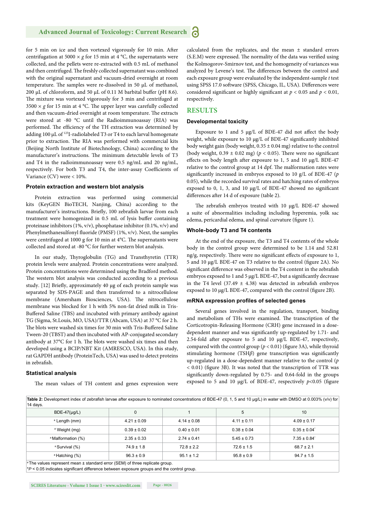for 5 min on ice and then vortexed vigorously for 10 min. After centrifugation at 5000  $\times$  *g* for 15 min at 4 °C, the supernatants were collected, and the pellets were re-extracted with 0.5 mL of methanol and then centrifuged. The freshly collected supernatant was combined with the original supernatant and vacuum-dried overnight at room temperature. The samples were re-dissolved in 50  $\mu$ L of methanol, 200 μL of chloroform, and 50 μL of 0.11 M barbital buffer (pH 8.6). The mixture was vortexed vigorously for 3 min and centrifuged at  $3500 \times g$  for 15 min at 4 °C. The upper layer was carefully collected and then vacuum-dried overnight at room temperature. The extracts were stored at -80 °C until the Radioimmunoassay (RIA) was performed. The efficiency of the TH extraction was determined by adding 100 μL of 125I-radiolabeled T3 or T4 to each larval homogenate prior to extraction. The RIA was performed with commercial kits (Beijing North Institute of Biotechnology, China) according to the manufacturer's instructions. The minimum detectable levels of T3 and T4 in the radioimmunoassay were 0.5 ng/mL and 20 ng/mL, respectively. For both T3 and T4, the inter-assay Coefficients of Variance (CV) were < 10%.

#### **Protein extraction and western blot analysis**

Protein extraction was performed using commercial kits (KeyGEN BioTECH, Nanjing, China) according to the manufacturer's instructions. Briefly, 100 zebrafish larvae from each treatment were homogenized in 0.5 mL of lysis buffer containing proteinase inhibitors (1%, v/v), phosphatase inhibitor (0.1%, v/v) and Phenylmethanesulfonyl fluoride (PMSF) (1%, v/v). Next, the samples were centrifuged at 1000 g for 10 min at 4°C. The supernatants were collected and stored at -80 °C for further western blot analysis.

In our study, Thyroglobulin (TG) and Transthyretin (TTR) protein levels were analyzed. Protein concentrations were analyzed. Protein concentrations were determined using the Bradford method. The western blot analysis was conducted according to a previous study. [12] Briefly, approximately 40 μg of each protein sample was separated by SDS-PAGE and then transferred to a nitrocellulose membrane (Amersham Biosciences, USA). The nitrocellulose membrane was blocked for 1 h with 5% non-fat dried milk in Tris-Buffered Saline (TBS) and incubated with primary antibody against TG (Sigma, St.Louis, MO, USA)/TTR (Abcam, USA) at 37 °C for 2 h. The blots were washed six times for 30 min with Tris-Buffered Saline Tween-20 (TBST) and then incubated with AP-conjugated secondary antibody at  $37^{\circ}$ C for 1 h. The blots were washed six times and then developed using a BCIP/NBT Kit (AMRESCO, USA). In this study, rat GAPDH antibody (ProteinTech, USA) was used to detect proteins in zebrafish.

#### **Statistical analysis**

The mean values of TH content and genes expression were

calculated from the replicates, and the mean ± standard errors (S.E.M) were expressed. The normality of the data was verified using the Kolmogorov-Smirnov test, and the homogeneity of variances was analyzed by Levene's test. The differences between the control and each exposure group were evaluated by the independent-sample *t* test using SPSS 17.0 software (SPSS, Chicago, IL, USA). Differences were considered significant or highly significant at  $p < 0.05$  and  $p < 0.01$ , respectively.

#### **RESULTS**

#### **Developmental toxicity**

Exposure to 1 and 5  $\mu$ g/L of BDE-47 did not affect the body weight, while exposure to 10 μg/L of BDE-47 significantly inhibited body weight gain (body weight,  $0.35 \pm 0.04$  mg) relative to the control (body weight,  $0.39 \pm 0.02$  mg) ( $p < 0.05$ ). There were no significant effects on body length after exposure to 1, 5 and 10 μg/L BDE-47 relative to the control group at 14 dpf. The malformation rates were significantly increased in embryos exposed to 10 g/L of BDE-47 (*p* 0.05), while the recorded survival rates and hatching rates of embryos exposed to 0, 1, 3, and 10 μg/L of BDE-47 showed no significant differences after 14 d of exposure (table 2).

The zebrafish embryos treated with 10 μg/L BDE-47 showed a suite of abnormalities including including hyperemia, yolk sac edema, pericardial edema, and spinal curvature (figure 1).

#### **Whole-body T3 and T4 contents**

At the end of the exposure, the T3 and T4 contents of the whole body in the control group were determined to be 1.14 and 52.81 ng/g, respectively. There were no significant effects of exposure to 1, 5 and 10 μg/L BDE-47 on T3 relative to the control (figure 2A). No significant difference was observed in the T4 content in the zebrafish embryos exposed to 1 and 5 μg/L BDE-47, but a significantly decrease in the T4 level (37.49  $\pm$  4.38) was detected in zebrafish embryos exposed to 10 μg/L BDE-47, compared with the control (figure 2B).

#### **mRNA expression profiles of selected genes**

Several genes involved in the regulation, transport, binding and metabolism of THs were examined. The transcription of the Corticotropin-Releasing Hormone (CRH) gene increased in a dosedependent manner and was significantly up-regulated by 1.71- and 2.54-fold after exposure to 5 and 10  $\mu$ g/L BDE-47, respectively, compared with the control group ( $p < 0.01$ ) (figure 3A), while thyroid stimulating hormone (TSH*β*) gene transcription was significantly up-regulated in a dose-dependent manner relative to the control (*p*  $(0.01)$  (figure 3B). It was noted that the transcription of TTR was significantly down-regulated by 0.75- and 0.64-fold in the groups exposed to 5 and 10  $\mu$ g/L of BDE-47, respectively  $p$ <0.05 (figure

| $BDE-47(\mu q/L)$             | 0               |                 | 5               | 10              |
|-------------------------------|-----------------|-----------------|-----------------|-----------------|
| <sup>a</sup> Length (mm)      | $4.21 \pm 0.09$ | $4.14 \pm 0.08$ | $4.11 \pm 0.11$ | $4.09 \pm 0.17$ |
| <sup>a</sup> Weight (mg)      | $0.39 \pm 0.02$ | $0.40 \pm 0.01$ | $0.38 \pm 0.04$ | $0.35 \pm 0.04$ |
| <sup>a</sup> Malformation (%) | $2.35 \pm 0.33$ | $2.74 \pm 0.41$ | $5.45 \pm 0.73$ | $7.35 \pm 0.84$ |
| <sup>a</sup> Survival (%)     | $74.9 \pm 1.8$  | $72.8 \pm 2.2$  | $72.6 \pm 1.5$  | $68.7 \pm 2.1$  |
| <sup>a</sup> Hatching (%)     | $96.3 \pm 0.9$  | $95.1 \pm 1.2$  | $95.8 \pm 0.9$  | $94.7 \pm 1.5$  |

\**P* < 0.05 indicates significant difference between exposure groups and the control group.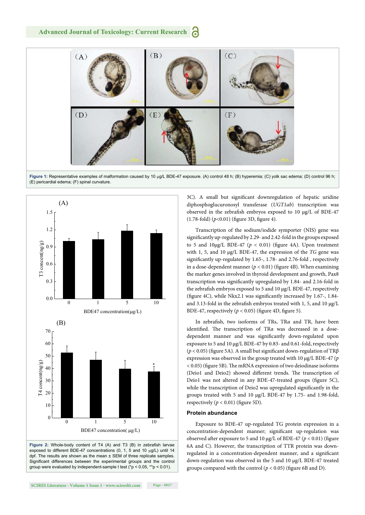

Figure 1: Representative examples of malformation caused by 10 µg/L BDE-47 exposure. (A) control 48 h; (B) hyperemia; (C) yolk sac edema; (D) control 96 h; (E) pericardial edema; (F) spinal curvature.



**Figure 2:** Whole-body content of T4 (A) and T3 (B) in zebrafish larvae exposed to different BDE-47 concentrations  $(0, 1, 5, 5, 10)$  until 14 dpf. The results are shown as the mean ± SEM of three replicate samples. Significant differences between the experimental groups and the control group were evaluated by independent-sample t test  $(^*p < 0.05$ , \*\*p < 0.01).

3C). A small but significant downregulation of hepatic uridine diphosphoglucuronosyl transferase (*UGT1ab*) transcription was observed in the zebrafish embryos exposed to 10 μg/L of BDE-47  $(1.78\text{-}fold)$   $(p<0.01)$  (figure 3D, figure 4).

Transcription of the sodium/iodide symporter (NIS) gene was significantly up-regulated by 2.29- and 2.42-fold in the groups exposed to 5 and  $10\mu g/L$  BDE-47 ( $p < 0.01$ ) (figure 4A). Upon treatment with 1, 5, and 10 μg/L BDE-47, the expression of the *TG* gene was significantly up-regulated by 1.65-, 1.78- and 2.76-fold , respectively in a dose-dependent manner ( $p < 0.01$ ) (figure 4B). When examining the marker genes involved in thyroid development and growth, Pax8 transcription was significantly upregulated by 1.84- and 2.16-fold in the zebrafish embryos exposed to 5 and 10 μg/L BDE-47, respectively (figure 4C), while Nkx2.1 was significantly increased by 1.67-, 1.84and 3.13-fold in the zebrafish embryos treated with 1, 5, and 10 μg/L BDE-47, respectively ( $p < 0.05$ ) (figure 4D, figure 5).

In zebrafish, two isoforms of TRs, TR*α* and TR, have been identified. The transcription of TRα was decreased in a dosedependent manner and was significantly down-regulated upon exposure to 5 and 10 μg/L BDE-47 by 0.83- and 0.61-fold, respectively ( $p$  < 0.05) (figure 5A). A small but significant down-regulation of TRβ expression was observed in the group treated with 10 μg/L BDE-47 (*p*  $(0.05)$  (figure 5B). The mRNA expression of two deiodinase isoforms (Deio1 and Deio2) showed different trends. The transcription of Deio1 was not altered in any BDE-47-treated groups (figure 5C), while the transcription of Deio2 was upregulated significantly in the groups treated with 5 and 10 μg/L BDE-47 by 1.75- and 1.98-fold, respectively  $(p < 0.01)$  (figure 5D).

#### **Protein abundance**

Exposure to BDE-47 up-regulated TG protein expression in a concentration-dependent manner; significant up-regulation was observed after exposure to 5 and 10  $\mu$ g/L of BDE-47 ( $p < 0.01$ ) (figure 6A and C). However, the transcription of TTR protein was downregulated in a concentration-dependent manner, and a significant down-regulation was observed in the 5 and 10 μg/L BDE-47 treated groups compared with the control ( $p < 0.05$ ) (figure 6B and D).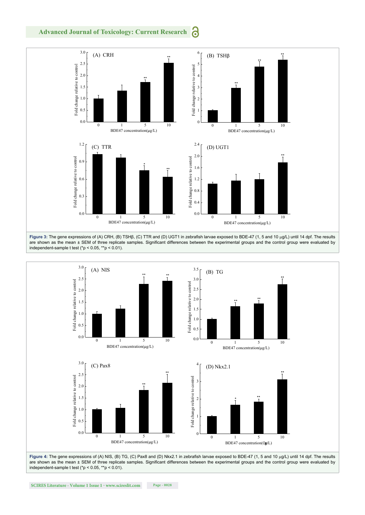6 **Advanced Journal of Toxicology: Current Research**





are shown as the mean ± SEM of three replicate samples. Significant differences between the experimental groups and the control group were evaluated by independent-sample t test ( $p < 0.05$ , \*\*p < 0.01).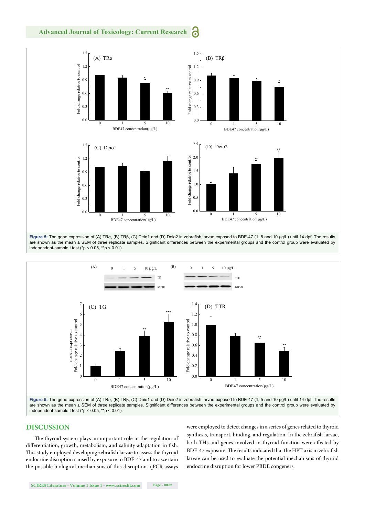





are shown as the mean ± SEM of three replicate samples. Significant differences between the experimental groups and the control group were evaluated by independent-sample t test ( $p < 0.05$ ,  $* p < 0.01$ ).

#### **DISCUSSION**

The thyroid system plays an important role in the regulation of differentiation, growth, metabolism, and salinity adaptation in fish. This study employed developing zebrafish larvae to assess the thyroid endocrine disruption caused by exposure to BDE-47 and to ascertain the possible biological mechanisms of this disruption. qPCR assays were employed to detect changes in a series of genes related to thyroid synthesis, transport, binding, and regulation. In the zebrafish larvae, both THs and genes involved in thyroid function were affected by BDE-47 exposure. The results indicated that the HPT axis in zebrafish larvae can be used to evaluate the potential mechanisms of thyroid endocrine disruption for lower PBDE congeners.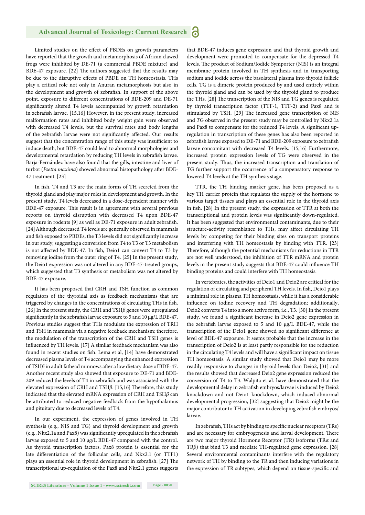Limited studies on the effect of PBDEs on growth parameters have reported that the growth and metamorphosis of African clawed frogs were inhibited by DE-71 (a commercial PBDE mixture) and BDE-47 exposure. [22] The authors suggested that the results may be due to the disruptive effects of PBDE on TH homeostasis. THs play a critical role not only in Anuran metamorphosis but also in the development and growth of zebrafish. In support of the above point, exposure to different concentrations of BDE-209 and DE-71 significantly altered T4 levels accompanied by growth retardation in zebrafish larvae. [15,16] However, in the present study, increased malformation rates and inhibited body weight gain were observed with decreased T4 levels, but the survival rates and body lengths of the zebrafish larvae were not significantly affected. Our results suggest that the concentration range of this study was insufficient to induce death, but BDE-47 could lead to abnormal morphologies and developmental retardation by reducing TH levels in zebrafish larvae. Barja-Fernández have also found that the gills, intestine and liver of turbot (Psetta maxima) showed abnormal histopathology after BDE-47 treatment. [23]

In fish, T4 and T3 are the main forms of TH secreted from the thyroid gland and play major roles in development and growth. In the present study, T4 levels decreased in a dose-dependent manner with BDE-47 exposure. This result is in agreement with several previous reports on thyroid disruption with decreased T4 upon BDE-47 exposure in rodents [9] as well as DE-71 exposure in adult zebrafish. [24]Although decreased T4 levels are generally observed in mammals and fish exposed to PBDEs, the T3 levels did not significantly increase in our study, suggesting a conversion from T4 to T3 or T3 metabolism is not affected by BDE-47. In fish, Deio1 can convert T4 to T3 by removing iodine from the outer ring of T4. [25] In the present study, the Deio1 expression was not altered in any BDE-47-treated groups, which suggested that T3 synthesis or metabolism was not altered by BDE-47 exposure.

It has been proposed that CRH and TSH function as common regulators of the thyroidal axis as feedback mechanisms that are triggered by changes in the concentrations of circulating THs in fish. [26] In the present study, the CRH and TSH*β* genes were upregulated significantly in the zebrafish larvae exposure to 5 and 10 μg/L BDE-47. Previous studies suggest that THs modulate the expression of TRH and TSH in mammals via a negative feedback mechanism; therefore, the modulation of the transcription of the CRH and TSH genes is influenced by TH levels. [17] A similar feedback mechanism was also found in recent studies on fish. Lema et al, [14] have demonstrated decreased plasma levels of T4 accompanying the enhanced expression of TSHβ in adult fathead minnows after a low dietary dose of BDE-47. Another recent study also showed that exposure to DE-71 and BDE-209 reduced the levels of T4 in zebrafish and was associated with the elevated expression of CRH and TSHβ. [15,16] Therefore, this study indicated that the elevated mRNA expression of CRH and TSH*β* can be attributed to reduced negative feedback from the hypothalamus and pituitary due to decreased levels of T4.

In our experiment, the expression of genes involved in TH synthesis (e.g., NIS and TG) and thyroid development and growth (e.g., Nkx2.1a and Pax8) was significantly upregulated in the zebrafish larvae exposed to 5 and 10 μg/L BDE-47 compared with the control. As thyroid transcription factors, Pax8 protein is essential for the late differentiation of the follicular cells, and Nkx2.1 (or TTF1) plays an essential role in thyroid development in zebrafish. [27] The transcriptional up-regulation of the Pax8 and Nkx2.1 genes suggests

that BDE-47 induces gene expression and that thyroid growth and development were promoted to compensate for the depressed T4 levels. The product of Sodium/Iodide Symporter (NIS) is an integral membrane protein involved in TH synthesis and in transporting sodium and iodide across the basolateral plasma into thyroid follicle cells. TG is a dimeric protein produced by and used entirely within the thyroid gland and can be used by the thyroid gland to produce the THs. [28] The transcription of the NIS and TG genes is regulated by thyroid transcription factor (TTF-1, TTF-2) and Pax8 and is stimulated by TSH. [29] The increased gene transcription of NIS and *T*G observed in the present study may be controlled by Nkx2.1a and Pax8 to compensate for the reduced T4 levels. A significant upregulation in transcription of these genes has also been reported in zebrafish larvae exposed to DE-71 and BDE-209 exposure to zebrafish larvae concomitant with decreased T4 levels. [15,16] Furthermore, increased protein expression levels of TG were observed in the present study. Thus, the increased transcription and translation of TG further support the occurrence of a compensatory response to lowered T4 levels at the TH synthesis stage.

TTR, the TH binding marker gene, has been proposed as a key TH carrier protein that regulates the supply of the hormone to various target tissues and plays an essential role in the thyroid axis in fish. [28] In the present study, the expression of TTR at both the transcriptional and protein levels was significantly down-regulated. It has been suggested that environmental contaminants, due to their structure-activity resemblance to THs, may affect circulating TH levels by competing for their binding sites on transport proteins and interfering with TH homeostasis by binding with TTR. [23] Therefore, although the potential mechanisms for reductions in TTR are not well understood, the inhibition of TTR mRNA and protein levels in the present study suggests that BDE-47 could influence TH binding proteins and could interfere with TH homeostasis.

In vertebrates, the activities of Deio1 and Deio2 are critical for the regulation of circulating and peripheral TH levels. In fish, Deio1 plays a minimal role in plasma TH homeostasis, while it has a considerable influence on iodine recovery and TH degradation; additionally, Deio2 converts T4 into a more active form, i.e., T3. [30] In the present study, we found a significant increase in Deio2 gene expression in the zebrafish larvae exposed to 5 and 10 μg/L BDE-47, while the transcription of the Deio1 gene showed no significant difference at level of BDE-47 exposure. It seems probable that the increase in the transcription of Deio2 is at least partly responsible for the reduction in the circulating T4 levels and will have a significant impact on tissue TH homeostasis. A similar study showed that Deio1 may be more readily responsive to changes in thyroid levels than Deio2, [31] and the results showed that decreased Deio2 gene expression reduced the conversion of T4 to T3. Walpita et al. have demonstrated that the developmental delay in zebrafish embryos/larvae is induced by Deio2 knockdown and not Deio1 knockdown, which induced abnormal developmental progression, [32] suggesting that Deio2 might be the major contributor to TH activation in developing zebrafish embryos/ larvae.

In zebrafish, THs act by binding to specific nuclear receptors (TRs) and are necessary for embryogenesis and larval development. There are two major thyroid Hormone Receptor (TR) isoforms (TR*α* and *T*R*β*) that bind T3 and mediate TH-regulated gene expression. [28] Several environmental contaminants interfere with the regulatory network of TH by binding to the TR and then inducing variations in the expression of TR subtypes, which depend on tissue-specific and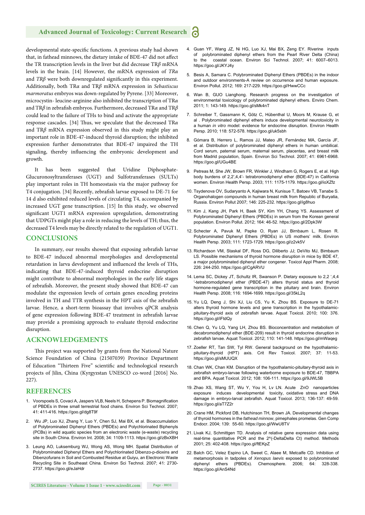#### **Advanced Journal of Toxicology: Current Research** Ы

developmental state-specific functions. A previous study had shown that, in fathead minnows, the dietary intake of BDE-47 did not affect the TR transcription levels in the liver but did decrease TR*β* mRNA levels in the brain. [14] However, the mRNA expression of *TRα* and *TRβ* were both downregulated significantly in this experiment. Additionally, both TRα and TRβ mRNA expression in *Sebastiscus marmoratus* embryos was down-regulated by Pyrene. [33] Moreover, microcystin- leucine-arginine also inhibited the transcription of TR*α* and TRβ in zebrafish embryos. Furthermore, decreased TRα and TRβ could lead to the failure of THs to bind and activate the appropriate response cascades. [34] Thus, we speculate that the decreased TRα and TR*β* mRNA expression observed in this study might play an important role in BDE-47-induced thyroid disruption; the inhibited expression further demonstrates that BDE-47 impaired the TH signaling, thereby influencing the embryonic development and growth.

It has been suggested that Uridine Diphosphate-Glucuronosyltransferases (UGT) and Sulfotransferases (SULTs) play important roles in TH homeostasis via the major pathway for T4 conjugation. [34] Recently, zebrafish larvae exposed to DE-71 for 14 d also exhibited reduced levels of circulating T4, accompanied by increased UGT gene transcription. [15] In this study, we observed significant UGT1 mRNA expression upregulation, demonstrating that UDPGTs might play a role in reducing the levels of TH; thus, the decreased T4 levels may be directly related to the regulation of UGT1.

#### **CONCLUSIONS**

In summary, our results showed that exposing zebrafish larvae to BDE-47 induced abnormal morphologies and developmental retardation in larva development and influenced the levels of THs, indicating that BDE-47-induced thyroid endocrine disruption might contribute to abnormal morphologies in the early life stages of zebrafish. Moreover, the present study showed that BDE-47 can modulate the expression levels of certain genes encoding proteins involved in TH and TTR synthesis in the HPT axis of the zebrafish larvae. Hence, a short-term bioassay that involves qPCR analysis of gene expression following BDE-47 treatment in zebrafish larvae may provide a promising approach to evaluate thyroid endocrine disruption.

#### **ACKNOWLEDGEMENTS**

This project was supported by grants from the National Nature Science Foundation of China (21507039) Province Department of Education "Thirteen Five" scientific and technological research projects of Jilin, China (Kyrgyzstan UNESCO co-word [2016] No.  $227$ 

#### **REFERENCES**

- 1. Voorspoels S, Covaci A, Jaspers VLB, Neels H, Schepens P. Biomagnification of PBDEs in three small terrestrial food chains. Environ Sci Technol. 2007; 41: 411-416. https://goo.gl/dg8T9f
- 2. Wu JP, Luo XJ, Zhang Y, Luo Y, Chen SJ, Mai BX, et al. Bioaccumulation of Polybrominated Diphenyl Ethers (PBDEs) and Polychlorinated Biphenyls (PCBs) in wild aquatic species from an electronic waste (e-waste) recycling site in South China. Environ Int. 2008; 34: 1109-1113. https://goo.gl/zBxXBH
- 3. Leung AO, Luksemburg WJ, Wong AS, Wong MH. Spatial Distribution of Polybrominated Diphenyl Ethers and Polychlorinated Dibenzo-p-dioxins and Dibenzofurans in Soil and Combusted Residue at Guiyu, an Electronic Waste Recycling Site in Southeast China. Environ Sci Technol. 2007; 41: 2730- 2737. https://goo.gl/eJaHdr
- 5. Besis A, Samara C. Polybrominated Diphenyl Ethers (PBDEs) in the indoor and outdoor environments-A review on occurrence and human exposure. Environ Pollut. 2012; 169: 217-229. https://goo.gl/HwwCCc
- 6. Wan B, GUO Lianghong. Research progress on the investigation of environmental toxicology of polybrominated diphenyl ethers. Enviro Chem. 2011; 1: 143-149. https://goo.gl/sMk4nT
- 7. Schreiber T, Gassmann K, Götz C, Hübenthal U, Moors M, Krause G, et al . Polybrominated diphenyl ethers induce developmental neurotoxicity in a human *in vitro* model: evidence for endocrine disruption. Environ Health Persp. 2010; 118: 572-578. https://goo.gl/uk5sbh
- 8. Gómara B, Herrero L, Ramos JJ, Mateo JR, Fernández MA, García JF, et al. Distribution of polybrominated diphenyl ethers in human umbilical. Cord serum, paternal serum, maternal serum, placentas, and breast milk from Madrid population, Spain. Environ Sci Technol. 2007; 41: 6961-6968. https://goo.gl/UGu4BE
- 9. Petreas M, She JW, Brown FR, Winkler J, Windham G, Rogers E, et al. High body burdens of 2,2',4,4'- tetrabromodiphenyl ether (BDE-47) in California women. Environ Health Persp. 2003; 111: 1175-1179. https://goo.gl/ioXZfz
- 10. Tsydenova OV, Sudaryanto A, Kajiwara N, Kunisue T, Batoev VB, Tanabe S. Organohalogen compounds in human breast milk from Republic of Buryatia, Russia. Environ Pollut 2007; 146: 225-232. https://goo.gl/ig8huo
- 11. Kim J, Kang JH, Park H, Baek SY, Kim YH, Chang YS. Assessment of Polybrominated Diphenyl Ethers (PBDEs) in serum from the Korean general population. Environ Pollut. 2012; 164: 46-52. https://goo.gl/2Dpk3W
- 12. Schecter A, Pavuk M, Papke O, Ryan JJ, Birnbaum L, Rosen R. Polybrominated Diphenyl Ethers (PBDEs) in US mothers' milk. Environ Health Persp. 2003; 111: 1723-1729. https://goo.gl/z2vk5V
- 13. Richardson VM, Staskal DF, Ross DG, Diliberto JJ; DeVito MJ, Bimbaum LS. Possible mechanisms of thyroid hormone disruption in mice by BDE 47, a major polybrominated diphenyl ether congener. Toxicol Appl Pharm. 2008; 226: 244-250. https://goo.gl/CgARVU
- 14. Lema SC, Dickey JT, Schultz IR, Swanson P. Dietary exposure to 2,2 ',4,4 '-tetrabromodiphenyl ether (PBDE-47) alters thyroid status and thyroid hormone-regulated gene transcription in the pituitary and brain. Environ Health Persp. 2008; 116: 1694-1699. https://goo.gl/35kL2q
- 15. Yu LQ, Deng J, Shi XJ, Liu CS, Yu K, Zhou BS. Exposure to DE-71 alters thyroid hormone levels and gene transcription in the hypothalamicpituitary-thyroid axis of zebrafish larvae. Aquat Toxicol. 2010; 100: 376. https://goo.gl/iFtdQy
- 16. Chen Q, Yu LQ, Yang LH, Zhou BS. Bioconcentration and metabolism of decabromodiphenyl ether (BDE-209) result in thyroid endocrine disruption in zebrafish larvae. Aquat Toxicol. 2012; 110: 141-148. https://goo.gl/mWaqeg
- 17. Zoeller RT, Tan SW, Tyl RW. General background on the hypothalamicpituitary-thyroid (HPT) axis. Crit Rev Toxicol. 2007; 37: 11-53. https://goo.gl/sMUUQX
- 18. Chan WK, Chan KM. Disruption of the hypothalamic-pituitary-thyroid axis in zebrafish embryo-larvae following waterborne exposure to BDE-47. TBBPA and BPA. Aquat Toxicol. 2012; 108: 106-111. https://goo.gl/9JWL5B
- 19. Zhao XS, Wang ST, Wu Y, You H, Lv LN. Acute ZnO nanoparticles exposure induces developmental toxicity, oxidative stress and DNA damage in embryo-larval zebrafish. Aquat Toxicol. 2013; 136-137: 49-59. https://goo.gl/aT7Z2r
- 20. Crane HM, Pickford DB, Hutchinson TH, Brown JA. Developmental changes of thyroid hormones in the *fathead minnow*, pimephales promelas. Gen Comp Endocr. 2004; 139: 55-60. https://goo.gl/WwU8TV
- 21. Livak KJ, Schmittgen TD. Analysis of relative gene expression data using real-time quantitative PCR and the 2^(-DeltaDelta Ct) method. Methods 2001; 25: 402-408. https://goo.gl/ftEKpZ
- 22. Balch GC, Velez Espino LA, Sweet C, Alaee M, Metcalfe CD. Inhibition of metamorphosis in tadpoles of *Xenopus laevis* exposed to polybrominated diphenyl ethers (PBDEs). Chemosphere. 2006; 64: 328-338. https://goo.gl/AnS4Nd